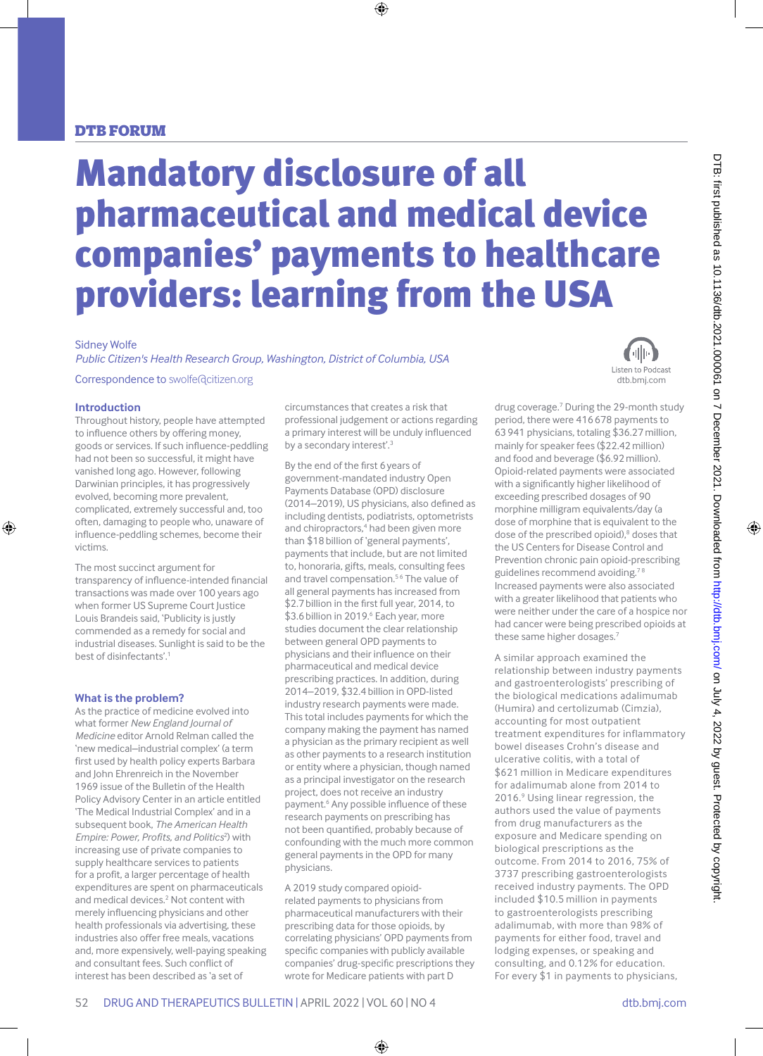### DTB forum

# Mandatory disclosure of all pharmaceutical and medical device companies' payments to healthcare providers: learning from the USA

#### Sidney Wolfe

*Public Citizen's Health Research Group, Washington, District of Columbia, USA*

Correspondence to swolfe@citizen.org

#### **Introduction**

Throughout history, people have attempted to influence others by offering money, goods or services. If such influence-peddling had not been so successful, it might have vanished long ago. However, following Darwinian principles, it has progressively evolved, becoming more prevalent, complicated, extremely successful and, too often, damaging to people who, unaware of influence-peddling schemes, become their victims.

The most succinct argument for transparency of influence-intended financial transactions was made over 100 years ago when former US Supreme Court Justice Louis Brandeis said, 'Publicity is justly commended as a remedy for social and industrial diseases. Sunlight is said to be the best of disinfectants'.1

#### **What is the problem?**

As the practice of medicine evolved into what former *New England Journal of Medicine* editor Arnold Relman called the 'new medical–industrial complex' (a term first used by health policy experts Barbara and John Ehrenreich in the November 1969 issue of the Bulletin of the Health Policy Advisory Center in an article entitled 'The Medical Industrial Complex' and in a subsequent book, *The American Health*  Empire: Power, Profits, and Politics<sup>2</sup>) with increasing use of private companies to supply healthcare services to patients for a profit, a larger percentage of health expenditures are spent on pharmaceuticals and medical devices.<sup>2</sup> Not content with merely influencing physicians and other health professionals via advertising, these industries also offer free meals, vacations and, more expensively, well-paying speaking and consultant fees. Such conflict of interest has been described as 'a set of

circumstances that creates a risk that professional judgement or actions regarding a primary interest will be unduly influenced by a secondary interest'.<sup>3</sup>

By the end of the first 6years of government-mandated industry Open Payments Database (OPD) disclosure (2014–2019), US physicians, also defined as including dentists, podiatrists, optometrists and chiropractors,<sup>4</sup> had been given more than \$18billion of 'general payments', payments that include, but are not limited to, honoraria, gifts, meals, consulting fees and travel compensation.<sup>56</sup> The value of all general payments has increased from \$2.7billion in the first full year, 2014, to \$3.6 billion in 2019.<sup>6</sup> Each year, more studies document the clear relationship between general OPD payments to physicians and their influence on their pharmaceutical and medical device prescribing practices. In addition, during 2014–2019, \$32.4billion in OPD-listed industry research payments were made. This total includes payments for which the company making the payment has named a physician as the primary recipient as well as other payments to a research institution or entity where a physician, though named as a principal investigator on the research project, does not receive an industry payment.<sup>6</sup> Any possible influence of these research payments on prescribing has not been quantified, probably because of confounding with the much more common general payments in the OPD for many physicians.

A 2019 study compared opioidrelated payments to physicians from pharmaceutical manufacturers with their prescribing data for those opioids, by correlating physicians' OPD payments from specific companies with publicly available companies' drug-specific prescriptions they wrote for Medicare patients with part D



drug coverage.7 During the 29-month study period, there were 416678 payments to 63941 physicians, totaling \$36.27million, mainly for speaker fees (\$22.42million) and food and beverage (\$6.92million). Opioid-related payments were associated with a significantly higher likelihood of exceeding prescribed dosages of 90 morphine milligram equivalents/day (a dose of morphine that is equivalent to the dose of the prescribed opioid),<sup>8</sup> doses that the US Centers for Disease Control and Prevention chronic pain opioid-prescribing guidelines recommend avoiding.<sup>78</sup> Increased payments were also associated with a greater likelihood that patients who were neither under the care of a hospice nor had cancer were being prescribed opioids at these same higher dosages.7

A similar approach examined the relationship between industry payments and gastroenterologists' prescribing of the biological medications adalimumab (Humira) and certolizumab (Cimzia), accounting for most outpatient treatment expenditures for inflammatory bowel diseases Crohn's disease and ulcerative colitis, with a total of \$621 million in Medicare expenditures for adalimumab alone from 2014 to 2016.9 Using linear regression, the authors used the value of payments from drug manufacturers as the exposure and Medicare spending on biological prescriptions as the outcome. From 2014 to 2016, 75% of 3737 prescribing gastroenterologists received industry payments. The OPD included \$10.5 million in payments to gastroenterologists prescribing adalimumab, with more than 98% of payments for either food, travel and lodging expenses, or speaking and consulting, and 0.12% for education. For every \$1 in payments to physicians,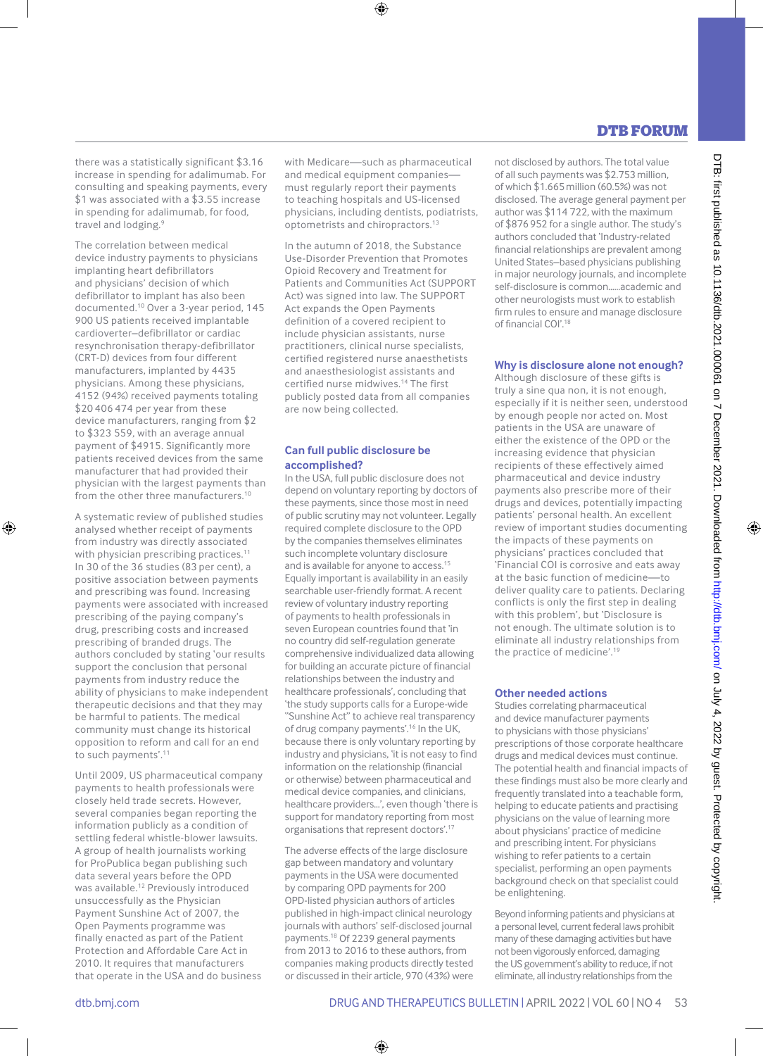## DTB forum

there was a statistically significant \$3.16 increase in spending for adalimumab. For consulting and speaking payments, every \$1 was associated with a \$3.55 increase in spending for adalimumab, for food, travel and lodging.9

The correlation between medical device industry payments to physicians implanting heart defibrillators and physicians' decision of which defibrillator to implant has also been documented.10 Over a 3-year period, 145 900 US patients received implantable cardioverter–defibrillator or cardiac resynchronisation therapy-defibrillator (CRT-D) devices from four different manufacturers, implanted by 4435 physicians. Among these physicians, 4152 (94%) received payments totaling \$20 406 474 per year from these device manufacturers, ranging from \$2 to \$323 559, with an average annual payment of \$4915. Significantly more patients received devices from the same manufacturer that had provided their physician with the largest payments than from the other three manufacturers.10

A systematic review of published studies analysed whether receipt of payments from industry was directly associated with physician prescribing practices.<sup>11</sup> In 30 of the 36 studies (83 per cent), a positive association between payments and prescribing was found. Increasing payments were associated with increased prescribing of the paying company's drug, prescribing costs and increased prescribing of branded drugs. The authors concluded by stating 'our results support the conclusion that personal payments from industry reduce the ability of physicians to make independent therapeutic decisions and that they may be harmful to patients. The medical community must change its historical opposition to reform and call for an end to such payments'.11

Until 2009, US pharmaceutical company payments to health professionals were closely held trade secrets. However, several companies began reporting the information publicly as a condition of settling federal whistle-blower lawsuits. A group of health journalists working for ProPublica began publishing such data several years before the OPD was available.<sup>12</sup> Previously introduced unsuccessfully as the Physician Payment Sunshine Act of 2007, the Open Payments programme was finally enacted as part of the Patient Protection and Affordable Care Act in 2010. It requires that manufacturers that operate in the USA and do business with Medicare—such as pharmaceutical and medical equipment companiesmust regularly report their payments to teaching hospitals and US-licensed physicians, including dentists, podiatrists, optometrists and chiropractors.<sup>13</sup>

In the autumn of 2018, the Substance Use-Disorder Prevention that Promotes Opioid Recovery and Treatment for Patients and Communities Act (SUPPORT Act) was signed into law. The SUPPORT Act expands the Open Payments definition of a covered recipient to include physician assistants, nurse practitioners, clinical nurse specialists, certified registered nurse anaesthetists and anaesthesiologist assistants and certified nurse midwives.14 The first publicly posted data from all companies are now being collected.

#### **Can full public disclosure be accomplished?**

In the USA, full public disclosure does not depend on voluntary reporting by doctors of these payments, since those most in need of public scrutiny may not volunteer. Legally required complete disclosure to the OPD by the companies themselves eliminates such incomplete voluntary disclosure and is available for anyone to access.<sup>15</sup> Equally important is availability in an easily searchable user-friendly format. A recent review of voluntary industry reporting of payments to health professionals in seven European countries found that 'in no country did self-regulation generate comprehensive individualized data allowing for building an accurate picture of financial relationships between the industry and healthcare professionals', concluding that 'the study supports calls for a Europe-wide "Sunshine Act" to achieve real transparency of drug company payments'.16 In the UK, because there is only voluntary reporting by industry and physicians, 'it is not easy to find information on the relationship (financial or otherwise) between pharmaceutical and medical device companies, and clinicians, healthcare providers…', even though 'there is support for mandatory reporting from most organisations that represent doctors'.17

The adverse effects of the large disclosure gap between mandatory and voluntary payments in the USA were documented by comparing OPD payments for 200 OPD-listed physician authors of articles published in high-impact clinical neurology journals with authors' self-disclosed journal payments.18 Of 2239 general payments from 2013 to 2016 to these authors, from companies making products directly tested or discussed in their article, 970 (43%) were

not disclosed by authors. The total value of all such payments was \$2.753million, of which \$1.665million (60.5%) was not disclosed. The average general payment per author was \$114 722, with the maximum of \$876952 for a single author. The study's authors concluded that 'Industry-related financial relationships are prevalent among United States–based physicians publishing in major neurology journals, and incomplete self-disclosure is common……academic and other neurologists must work to establish firm rules to ensure and manage disclosure of financial COI'.<sup>18</sup>

#### **Why is disclosure alone not enough?**

Although disclosure of these gifts is truly a sine qua non, it is not enough, especially if it is neither seen, understood by enough people nor acted on. Most patients in the USA are unaware of either the existence of the OPD or the increasing evidence that physician recipients of these effectively aimed pharmaceutical and device industry payments also prescribe more of their drugs and devices, potentially impacting patients' personal health. An excellent review of important studies documenting the impacts of these payments on physicians' practices concluded that 'Financial COI is corrosive and eats away at the basic function of medicine—to deliver quality care to patients. Declaring conflicts is only the first step in dealing with this problem', but 'Disclosure is not enough. The ultimate solution is to eliminate all industry relationships from the practice of medicine'.19

#### **Other needed actions**

Studies correlating pharmaceutical and device manufacturer payments to physicians with those physicians' prescriptions of those corporate healthcare drugs and medical devices must continue. The potential health and financial impacts of these findings must also be more clearly and frequently translated into a teachable form. helping to educate patients and practising physicians on the value of learning more about physicians' practice of medicine and prescribing intent. For physicians wishing to refer patients to a certain specialist, performing an open payments background check on that specialist could be enlightening.

Beyond informing patients and physicians at a personal level, current federal laws prohibit many of these damaging activities but have not been vigorously enforced, damaging the US government's ability to reduce, if not eliminate, all industry relationships from the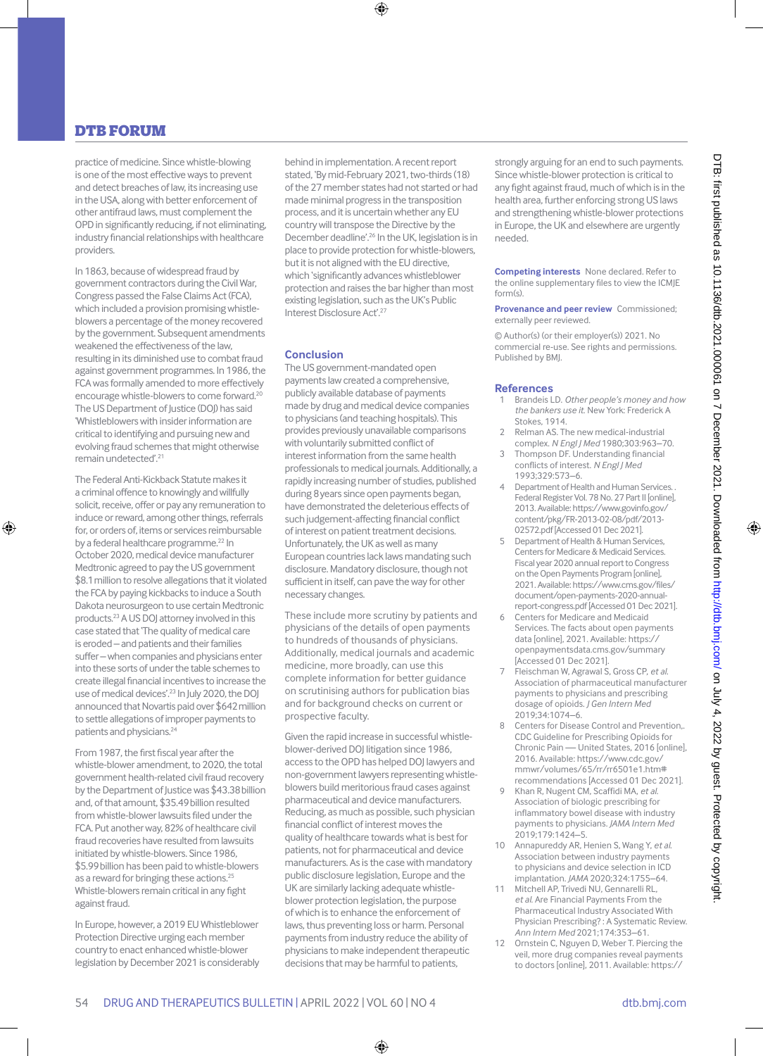practice of medicine. Since whistle-blowing is one of the most effective ways to prevent and detect breaches of law, its increasing use in the USA, along with better enforcement of other antifraud laws, must complement the OPD in significantly reducing, if not eliminating, industry financial relationships with healthcare providers.

In 1863, because of widespread fraud by government contractors during the Civil War, Congress passed the False Claims Act (FCA), which included a provision promising whistleblowers a percentage of the money recovered by the government. Subsequent amendments weakened the effectiveness of the law, resulting in its diminished use to combat fraud against government programmes. In 1986, the FCA was formally amended to more effectively encourage whistle-blowers to come forward.<sup>20</sup> The US Department of Justice (DOJ) has said 'Whistleblowers with insider information are critical to identifying and pursuing new and evolving fraud schemes that might otherwise remain undetected'.21

The Federal Anti-Kickback Statute makes it a criminal offence to knowingly and willfully solicit, receive, offer or pay any remuneration to induce or reward, among other things, referrals for, or orders of, items or services reimbursable by a federal healthcare programme.<sup>22</sup> In October 2020, medical device manufacturer Medtronic agreed to pay the US government \$8.1million to resolve allegations that it violated the FCA by paying kickbacks to induce a South Dakota neurosurgeon to use certain Medtronic products.23 AUS DOJ attorney involved in this case stated that 'The quality of medical care is eroded – and patients and their families suffer – when companies and physicians enter into these sorts of under the table schemes to create illegal financial incentives to increase the use of medical devices'.23 In July 2020, the DOJ announced that Novartis paid over \$642million to settle allegations of improper payments to patients and physicians.<sup>24</sup>

From 1987, the first fiscal year after the whistle-blower amendment, to 2020, the total government health-related civil fraud recovery by the Department of Justice was \$43.38billion and, of that amount, \$35.49billion resulted from whistle-blower lawsuits filed under the FCA. Put another way, 82% of healthcare civil fraud recoveries have resulted from lawsuits initiated by whistle-blowers. Since 1986, \$5.99billion has been paid to whistle-blowers as a reward for bringing these actions.<sup>25</sup> Whistle-blowers remain critical in any fight against fraud.

In Europe, however, a 2019 EU Whistleblower Protection Directive urging each member country to enact enhanced whistle-blower legislation by December 2021 is considerably behind in implementation. A recent report stated, 'By mid-February 2021, two-thirds (18) of the 27 member states had not started or had made minimal progress in the transposition process, and it is uncertain whether any EU country will transpose the Directive by the December deadline'.26 In the UK, legislation is in place to provide protection for whistle-blowers, but it is not aligned with the EU directive, which 'significantly advances whistleblower protection and raises the bar higher than most existing legislation, such as the UK's Public Interest Disclosure Act'.27

#### **Conclusion**

The US government-mandated open payments law created a comprehensive, publicly available database of payments made by drug and medical device companies to physicians (and teaching hospitals). This provides previously unavailable comparisons with voluntarily submitted conflict of interest information from the same health professionals to medical journals. Additionally, a rapidly increasing number of studies, published during 8years since open payments began, have demonstrated the deleterious effects of such judgement-affecting financial conflict of interest on patient treatment decisions. Unfortunately, the UK as well as many European countries lack laws mandating such disclosure. Mandatory disclosure, though not sufficient in itself, can pave the way for other necessary changes.

These include more scrutiny by patients and physicians of the details of open payments to hundreds of thousands of physicians. Additionally, medical journals and academic medicine, more broadly, can use this complete information for better guidance on scrutinising authors for publication bias and for background checks on current or prospective faculty.

Given the rapid increase in successful whistleblower-derived DOJ litigation since 1986, access to the OPD has helped DOJ lawyers and non-government lawyers representing whistleblowers build meritorious fraud cases against pharmaceutical and device manufacturers. Reducing, as much as possible, such physician financial conflict of interest moves the quality of healthcare towards what is best for patients, not for pharmaceutical and device manufacturers. As is the case with mandatory public disclosure legislation, Europe and the UK are similarly lacking adequate whistleblower protection legislation, the purpose of which is to enhance the enforcement of laws, thus preventing loss or harm. Personal payments from industry reduce the ability of physicians to make independent therapeutic decisions that may be harmful to patients,

strongly arguing for an end to such payments. Since whistle-blower protection is critical to any fight against fraud, much of which is in the health area, further enforcing strong US laws and strengthening whistle-blower protections in Europe, the UK and elsewhere are urgently needed.

**Competing interests** None declared. Refer to the online supplementary files to view the ICMJE  $f\circ r m(s)$ 

**Provenance and peer review** Commissioned; externally peer reviewed.

© Author(s) (or their employer(s)) 2021. No commercial re-use. See rights and permissions. Published by BMJ.

#### **References**

- 1 Brandeis LD. *Other people's money and how the bankers use it*. New York: Frederick A Stokes, 1914.
- 2 Relman AS. The new medical-industrial complex. *[N Engl J Med](http://dx.doi.org/10.1056/NEJM198010233031703)* 1980;303:963–70.
- Thompson DF. Understanding financial conflicts of interest. *[N Engl J Med](http://dx.doi.org/10.1056/NEJM199308193290812)* 1993;329:573–6.
- 4 Department of Health and Human Services. . Federal Register Vol. 78 No. 27 Part II [online], 2013. Available: [https://www.govinfo.gov/](https://www.govinfo.gov/content/pkg/FR-2013-02-08/pdf/2013-02572.pdf) [content/pkg/FR-2013-02-08/pdf/2013-](https://www.govinfo.gov/content/pkg/FR-2013-02-08/pdf/2013-02572.pdf) [02572.pdf](https://www.govinfo.gov/content/pkg/FR-2013-02-08/pdf/2013-02572.pdf) [Accessed 01 Dec 2021].
- 5 Department of Health & Human Services, Centers for Medicare & Medicaid Services. Fiscal year 2020 annual report to Congress on the Open Payments Program [online], 2021. Available: [https://www.cms.gov/files/](https://www.cms.gov/files/document/open-payments-2020-annual-report-congress.pdf) [document/open-payments-2020-annual](https://www.cms.gov/files/document/open-payments-2020-annual-report-congress.pdf)[report-congress.pdf](https://www.cms.gov/files/document/open-payments-2020-annual-report-congress.pdf) [Accessed 01 Dec 2021].
- 6 Centers for Medicare and Medicaid Services. The facts about open payments data [online], 2021. Available: [https://](https://openpaymentsdata.cms.gov/summary) [openpaymentsdata.cms.gov/summary](https://openpaymentsdata.cms.gov/summary)  [Accessed 01 Dec 2021].
- 7 Fleischman W, Agrawal S, Gross CP, *et al*. Association of pharmaceutical manufacturer payments to physicians and prescribing dosage of opioids. *[J Gen Intern Med](http://dx.doi.org/10.1007/s11606-019-04897-9)* 2019;34:1074–6.
- 8 Centers for Disease Control and Prevention,. CDC Guideline for Prescribing Opioids for Chronic Pain — United States, 2016 [online], 2016. Available: [https://www.cdc.gov/](https://www.cdc.gov/mmwr/volumes/65/rr/rr6501e1.htm#recommendations) [mmwr/volumes/65/rr/rr6501e1.htm#](https://www.cdc.gov/mmwr/volumes/65/rr/rr6501e1.htm#recommendations) [recommendations](https://www.cdc.gov/mmwr/volumes/65/rr/rr6501e1.htm#recommendations) [Accessed 01 Dec 2021].
- 9 Khan R, Nugent CM, Scaffidi MA, *et al*. Association of biologic prescribing for inflammatory bowel disease with industry payments to physicians. *[JAMA Intern Med](http://dx.doi.org/10.1001/jamainternmed.2019.0999)* 2019;179:1424–5.
- 10 Annapureddy AR, Henien S, Wang Y, *et al*. Association between industry payments to physicians and device selection in ICD implantation. *[JAMA](http://dx.doi.org/10.1001/jama.2020.17436)* 2020;324:1755–64.
- 11 Mitchell AP, Trivedi NU, Gennarelli RL, *et al*. Are Financial Payments From the Pharmaceutical Industry Associated With Physician Prescribing? : A Systematic Review. *[Ann Intern Med](http://dx.doi.org/10.7326/M20-5665)* 2021;174:353–61.
- 12 Ornstein C, Nguyen D, Weber T. Piercing the veil, more drug companies reveal payments to doctors [online], 2011. Available: [https://](https://www.propublica.org/article/piercing-the-veil-more-drug-companies-reveal-payments-to-doctors)